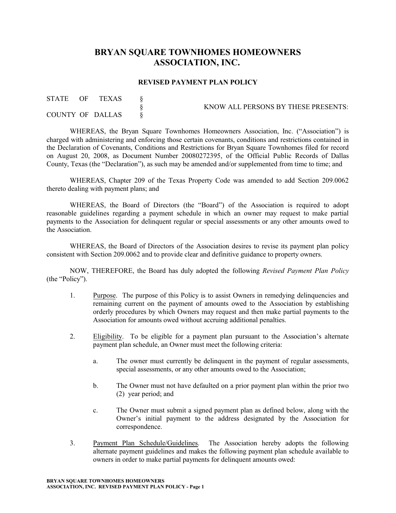## **BRYAN SQUARE TOWNHOMES HOMEOWNERS ASSOCIATION, INC.**

## **REVISED PAYMENT PLAN POLICY**

| <b>STATE</b> | - OF | TEXAS            | KNOW ALL PERSONS BY THESE PRESENTS: |
|--------------|------|------------------|-------------------------------------|
|              |      | COUNTY OF DALLAS |                                     |

WHEREAS, the Bryan Square Townhomes Homeowners Association, Inc. ("Association") is charged with administering and enforcing those certain covenants, conditions and restrictions contained in the Declaration of Covenants, Conditions and Restrictions for Bryan Square Townhomes filed for record on August 20, 2008, as Document Number 20080272395, of the Official Public Records of Dallas County, Texas (the "Declaration"), as such may be amended and/or supplemented from time to time; and

WHEREAS, Chapter 209 of the Texas Property Code was amended to add Section 209.0062 thereto dealing with payment plans; and

WHEREAS, the Board of Directors (the "Board") of the Association is required to adopt reasonable guidelines regarding a payment schedule in which an owner may request to make partial payments to the Association for delinquent regular or special assessments or any other amounts owed to the Association.

WHEREAS, the Board of Directors of the Association desires to revise its payment plan policy consistent with Section 209.0062 and to provide clear and definitive guidance to property owners.

NOW, THEREFORE, the Board has duly adopted the following *Revised Payment Plan Policy* (the "Policy").

- 1. Purpose. The purpose of this Policy is to assist Owners in remedying delinquencies and remaining current on the payment of amounts owed to the Association by establishing orderly procedures by which Owners may request and then make partial payments to the Association for amounts owed without accruing additional penalties.
- 2. Eligibility. To be eligible for a payment plan pursuant to the Association's alternate payment plan schedule, an Owner must meet the following criteria:
	- a. The owner must currently be delinquent in the payment of regular assessments, special assessments, or any other amounts owed to the Association;
	- b. The Owner must not have defaulted on a prior payment plan within the prior two (2) year period; and
	- c. The Owner must submit a signed payment plan as defined below, along with the Owner's initial payment to the address designated by the Association for correspondence.
- 3. Payment Plan Schedule/Guidelines. The Association hereby adopts the following alternate payment guidelines and makes the following payment plan schedule available to owners in order to make partial payments for delinquent amounts owed: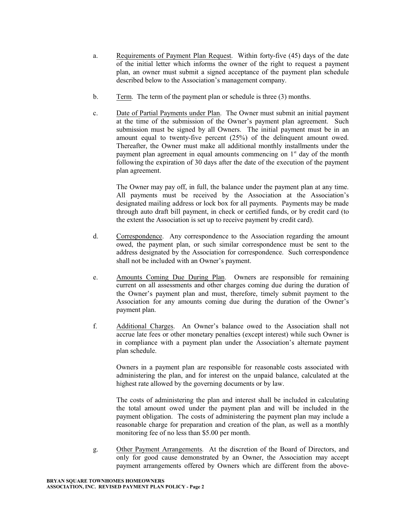- a. Requirements of Payment Plan Request. Within forty-five (45) days of the date of the initial letter which informs the owner of the right to request a payment plan, an owner must submit a signed acceptance of the payment plan schedule described below to the Association's management company.
- b. Term. The term of the payment plan or schedule is three (3) months.
- c. Date of Partial Payments under Plan. The Owner must submit an initial payment at the time of the submission of the Owner's payment plan agreement. Such submission must be signed by all Owners. The initial payment must be in an amount equal to twenty-five percent (25%) of the delinquent amount owed. Thereafter, the Owner must make all additional monthly installments under the payment plan agreement in equal amounts commencing on 1<sup>st</sup> day of the month following the expiration of 30 days after the date of the execution of the payment plan agreement.

The Owner may pay off, in full, the balance under the payment plan at any time. All payments must be received by the Association at the Association's designated mailing address or lock box for all payments. Payments may be made through auto draft bill payment, in check or certified funds, or by credit card (to the extent the Association is set up to receive payment by credit card).

- d. Correspondence. Any correspondence to the Association regarding the amount owed, the payment plan, or such similar correspondence must be sent to the address designated by the Association for correspondence. Such correspondence shall not be included with an Owner's payment.
- e. Amounts Coming Due During Plan. Owners are responsible for remaining current on all assessments and other charges coming due during the duration of the Owner's payment plan and must, therefore, timely submit payment to the Association for any amounts coming due during the duration of the Owner's payment plan.
- f. Additional Charges. An Owner's balance owed to the Association shall not accrue late fees or other monetary penalties (except interest) while such Owner is in compliance with a payment plan under the Association's alternate payment plan schedule.

Owners in a payment plan are responsible for reasonable costs associated with administering the plan, and for interest on the unpaid balance, calculated at the highest rate allowed by the governing documents or by law.

The costs of administering the plan and interest shall be included in calculating the total amount owed under the payment plan and will be included in the payment obligation. The costs of administering the payment plan may include a reasonable charge for preparation and creation of the plan, as well as a monthly monitoring fee of no less than \$5.00 per month.

g. Other Payment Arrangements. At the discretion of the Board of Directors, and only for good cause demonstrated by an Owner, the Association may accept payment arrangements offered by Owners which are different from the above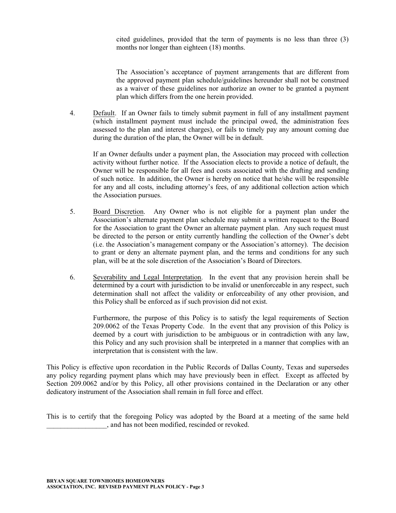cited guidelines, provided that the term of payments is no less than three (3) months nor longer than eighteen (18) months.

The Association's acceptance of payment arrangements that are different from the approved payment plan schedule/guidelines hereunder shall not be construed as a waiver of these guidelines nor authorize an owner to be granted a payment plan which differs from the one herein provided.

4. Default. If an Owner fails to timely submit payment in full of any installment payment (which installment payment must include the principal owed, the administration fees assessed to the plan and interest charges), or fails to timely pay any amount coming due during the duration of the plan, the Owner will be in default.

If an Owner defaults under a payment plan, the Association may proceed with collection activity without further notice. If the Association elects to provide a notice of default, the Owner will be responsible for all fees and costs associated with the drafting and sending of such notice. In addition, the Owner is hereby on notice that he/she will be responsible for any and all costs, including attorney's fees, of any additional collection action which the Association pursues.

- 5. Board Discretion. Any Owner who is not eligible for a payment plan under the Association's alternate payment plan schedule may submit a written request to the Board for the Association to grant the Owner an alternate payment plan. Any such request must be directed to the person or entity currently handling the collection of the Owner's debt (i.e. the Association's management company or the Association's attorney). The decision to grant or deny an alternate payment plan, and the terms and conditions for any such plan, will be at the sole discretion of the Association's Board of Directors.
- 6. Severability and Legal Interpretation. In the event that any provision herein shall be determined by a court with jurisdiction to be invalid or unenforceable in any respect, such determination shall not affect the validity or enforceability of any other provision, and this Policy shall be enforced as if such provision did not exist.

Furthermore, the purpose of this Policy is to satisfy the legal requirements of Section 209.0062 of the Texas Property Code. In the event that any provision of this Policy is deemed by a court with jurisdiction to be ambiguous or in contradiction with any law, this Policy and any such provision shall be interpreted in a manner that complies with an interpretation that is consistent with the law.

This Policy is effective upon recordation in the Public Records of Dallas County, Texas and supersedes any policy regarding payment plans which may have previously been in effect. Except as affected by Section 209.0062 and/or by this Policy, all other provisions contained in the Declaration or any other dedicatory instrument of the Association shall remain in full force and effect.

This is to certify that the foregoing Policy was adopted by the Board at a meeting of the same held \_\_\_\_\_\_\_\_\_\_\_\_\_\_\_\_\_, and has not been modified, rescinded or revoked.